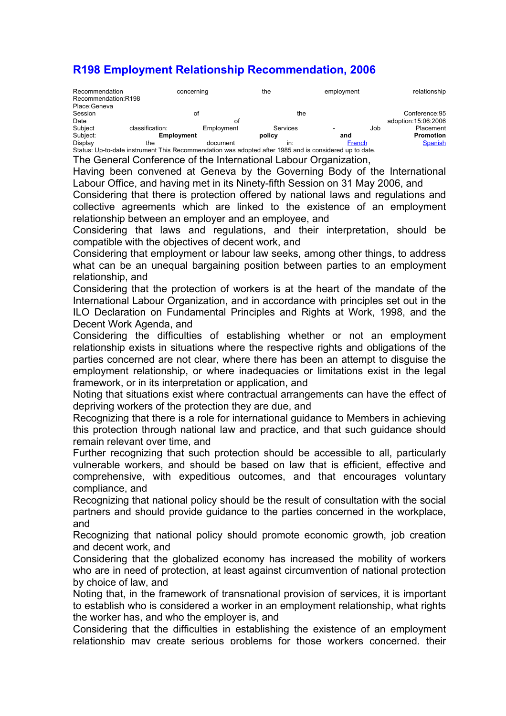# R198 Employment Relationship Recommendation, 2006

| Recommendation<br>Recommendation:R198                                                                  |                 | concerning | the      | employment |     | relationship         |
|--------------------------------------------------------------------------------------------------------|-----------------|------------|----------|------------|-----|----------------------|
| Place:Geneva                                                                                           |                 |            |          |            |     |                      |
| Session                                                                                                |                 | οt         | the      |            |     | Conference: 95       |
| Date                                                                                                   |                 | οt         |          |            |     | adoption: 15:06:2006 |
| Subject                                                                                                | classification: | Employment | Services |            | Job | Placement            |
| Subject:                                                                                               |                 | Employment |          | and        |     | <b>Promotion</b>     |
| Display                                                                                                | the             | document   | in:      | French     |     | <b>Spanish</b>       |
| Status: Up-to-date instrument This Recommendation was adopted after 1985 and is considered up to date. |                 |            |          |            |     |                      |

The General Conference of the International Labour Organization,

Having been convened at Geneva by the Governing Body of the International Labour Office, and having met in its Ninety-fifth Session on 31 May 2006, and

Considering that there is protection offered by national laws and regulations and collective agreements which are linked to the existence of an employment relationship between an employer and an employee, and

Considering that laws and regulations, and their interpretation, should be compatible with the objectives of decent work, and

Considering that employment or labour law seeks, among other things, to address what can be an unequal bargaining position between parties to an employment relationship, and

Considering that the protection of workers is at the heart of the mandate of the International Labour Organization, and in accordance with principles set out in the ILO Declaration on Fundamental Principles and Rights at Work, 1998, and the Decent Work Agenda, and

Considering the difficulties of establishing whether or not an employment relationship exists in situations where the respective rights and obligations of the parties concerned are not clear, where there has been an attempt to disguise the employment relationship, or where inadequacies or limitations exist in the legal framework, or in its interpretation or application, and

Noting that situations exist where contractual arrangements can have the effect of depriving workers of the protection they are due, and

Recognizing that there is a role for international guidance to Members in achieving this protection through national law and practice, and that such guidance should remain relevant over time, and

Further recognizing that such protection should be accessible to all, particularly vulnerable workers, and should be based on law that is efficient, effective and comprehensive, with expeditious outcomes, and that encourages voluntary compliance, and

Recognizing that national policy should be the result of consultation with the social partners and should provide guidance to the parties concerned in the workplace, and

Recognizing that national policy should promote economic growth, job creation and decent work, and

Considering that the globalized economy has increased the mobility of workers who are in need of protection, at least against circumvention of national protection by choice of law, and

Noting that, in the framework of transnational provision of services, it is important to establish who is considered a worker in an employment relationship, what rights the worker has, and who the employer is, and

Considering that the difficulties in establishing the existence of an employment relationship may create serious problems for those workers concerned, their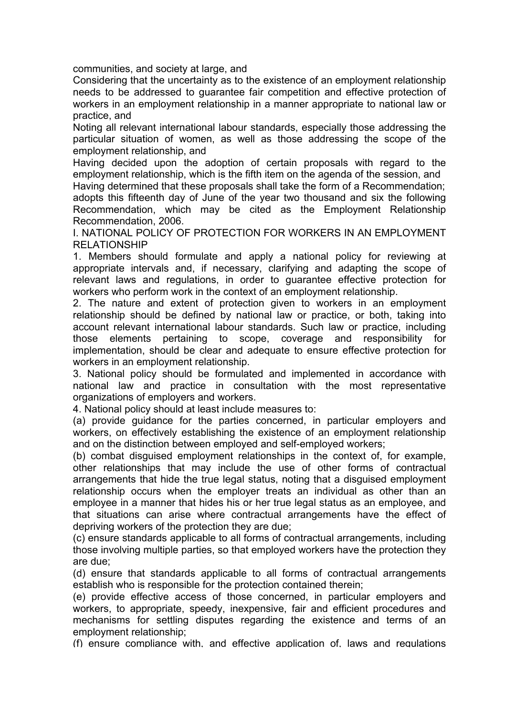communities, and society at large, and

Considering that the uncertainty as to the existence of an employment relationship needs to be addressed to guarantee fair competition and effective protection of workers in an employment relationship in a manner appropriate to national law or practice, and

Noting all relevant international labour standards, especially those addressing the particular situation of women, as well as those addressing the scope of the employment relationship, and

Having decided upon the adoption of certain proposals with regard to the employment relationship, which is the fifth item on the agenda of the session, and

Having determined that these proposals shall take the form of a Recommendation; adopts this fifteenth day of June of the year two thousand and six the following Recommendation, which may be cited as the Employment Relationship Recommendation, 2006.

I. NATIONAL POLICY OF PROTECTION FOR WORKERS IN AN EMPLOYMENT RELATIONSHIP

1. Members should formulate and apply a national policy for reviewing at appropriate intervals and, if necessary, clarifying and adapting the scope of relevant laws and regulations, in order to guarantee effective protection for workers who perform work in the context of an employment relationship.

2. The nature and extent of protection given to workers in an employment relationship should be defined by national law or practice, or both, taking into account relevant international labour standards. Such law or practice, including those elements pertaining to scope, coverage and responsibility for implementation, should be clear and adequate to ensure effective protection for workers in an employment relationship.

3. National policy should be formulated and implemented in accordance with national law and practice in consultation with the most representative organizations of employers and workers.

4. National policy should at least include measures to:

(a) provide guidance for the parties concerned, in particular employers and workers, on effectively establishing the existence of an employment relationship and on the distinction between employed and self-employed workers;

(b) combat disguised employment relationships in the context of, for example, other relationships that may include the use of other forms of contractual arrangements that hide the true legal status, noting that a disguised employment relationship occurs when the employer treats an individual as other than an employee in a manner that hides his or her true legal status as an employee, and that situations can arise where contractual arrangements have the effect of depriving workers of the protection they are due;

(c) ensure standards applicable to all forms of contractual arrangements, including those involving multiple parties, so that employed workers have the protection they are due;

(d) ensure that standards applicable to all forms of contractual arrangements establish who is responsible for the protection contained therein;

(e) provide effective access of those concerned, in particular employers and workers, to appropriate, speedy, inexpensive, fair and efficient procedures and mechanisms for settling disputes regarding the existence and terms of an employment relationship;

(f) ensure compliance with, and effective application of, laws and regulations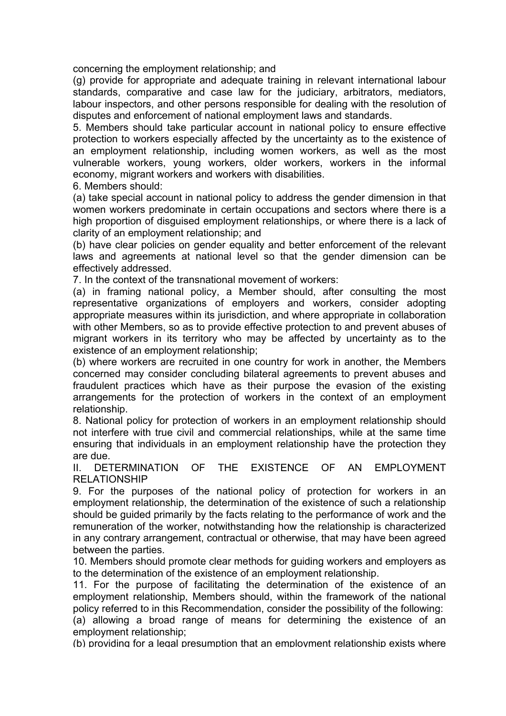concerning the employment relationship; and

(g) provide for appropriate and adequate training in relevant international labour standards, comparative and case law for the judiciary, arbitrators, mediators, labour inspectors, and other persons responsible for dealing with the resolution of disputes and enforcement of national employment laws and standards.

5. Members should take particular account in national policy to ensure effective protection to workers especially affected by the uncertainty as to the existence of an employment relationship, including women workers, as well as the most vulnerable workers, young workers, older workers, workers in the informal economy, migrant workers and workers with disabilities.

6. Members should:

(a) take special account in national policy to address the gender dimension in that women workers predominate in certain occupations and sectors where there is a high proportion of disguised employment relationships, or where there is a lack of clarity of an employment relationship; and

(b) have clear policies on gender equality and better enforcement of the relevant laws and agreements at national level so that the gender dimension can be effectively addressed.

7. In the context of the transnational movement of workers:

(a) in framing national policy, a Member should, after consulting the most representative organizations of employers and workers, consider adopting appropriate measures within its jurisdiction, and where appropriate in collaboration with other Members, so as to provide effective protection to and prevent abuses of migrant workers in its territory who may be affected by uncertainty as to the existence of an employment relationship;

(b) where workers are recruited in one country for work in another, the Members concerned may consider concluding bilateral agreements to prevent abuses and fraudulent practices which have as their purpose the evasion of the existing arrangements for the protection of workers in the context of an employment relationship.

8. National policy for protection of workers in an employment relationship should not interfere with true civil and commercial relationships, while at the same time ensuring that individuals in an employment relationship have the protection they are due.

II. DETERMINATION OF THE EXISTENCE OF AN EMPLOYMENT RELATIONSHIP

9. For the purposes of the national policy of protection for workers in an employment relationship, the determination of the existence of such a relationship should be guided primarily by the facts relating to the performance of work and the remuneration of the worker, notwithstanding how the relationship is characterized in any contrary arrangement, contractual or otherwise, that may have been agreed between the parties.

10. Members should promote clear methods for guiding workers and employers as to the determination of the existence of an employment relationship.

11. For the purpose of facilitating the determination of the existence of an employment relationship, Members should, within the framework of the national policy referred to in this Recommendation, consider the possibility of the following:

(a) allowing a broad range of means for determining the existence of an employment relationship;

(b) providing for a legal presumption that an employment relationship exists where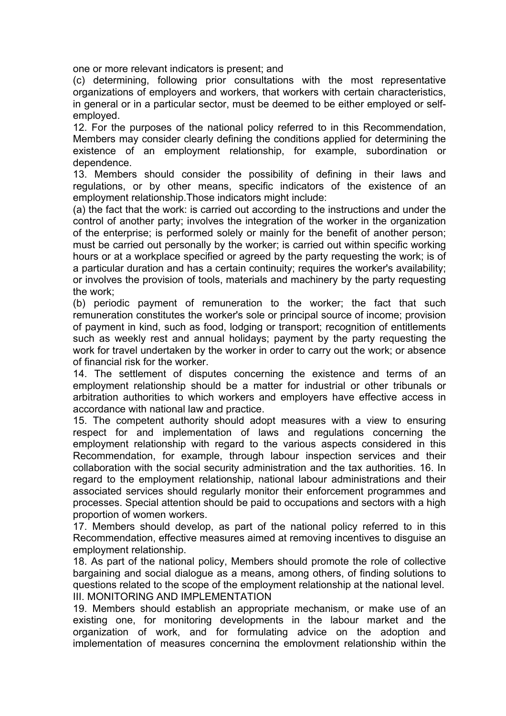one or more relevant indicators is present; and

(c) determining, following prior consultations with the most representative organizations of employers and workers, that workers with certain characteristics, in general or in a particular sector, must be deemed to be either employed or selfemployed.

12. For the purposes of the national policy referred to in this Recommendation, Members may consider clearly defining the conditions applied for determining the existence of an employment relationship, for example, subordination or dependence.

13. Members should consider the possibility of defining in their laws and regulations, or by other means, specific indicators of the existence of an employment relationship.Those indicators might include:

(a) the fact that the work: is carried out according to the instructions and under the control of another party; involves the integration of the worker in the organization of the enterprise; is performed solely or mainly for the benefit of another person; must be carried out personally by the worker; is carried out within specific working hours or at a workplace specified or agreed by the party requesting the work; is of a particular duration and has a certain continuity; requires the worker's availability; or involves the provision of tools, materials and machinery by the party requesting the work;

(b) periodic payment of remuneration to the worker; the fact that such remuneration constitutes the worker's sole or principal source of income; provision of payment in kind, such as food, lodging or transport; recognition of entitlements such as weekly rest and annual holidays; payment by the party requesting the work for travel undertaken by the worker in order to carry out the work; or absence of financial risk for the worker.

14. The settlement of disputes concerning the existence and terms of an employment relationship should be a matter for industrial or other tribunals or arbitration authorities to which workers and employers have effective access in accordance with national law and practice.

15. The competent authority should adopt measures with a view to ensuring respect for and implementation of laws and regulations concerning the employment relationship with regard to the various aspects considered in this Recommendation, for example, through labour inspection services and their collaboration with the social security administration and the tax authorities. 16. In regard to the employment relationship, national labour administrations and their associated services should regularly monitor their enforcement programmes and processes. Special attention should be paid to occupations and sectors with a high proportion of women workers.

17. Members should develop, as part of the national policy referred to in this Recommendation, effective measures aimed at removing incentives to disguise an employment relationship.

18. As part of the national policy, Members should promote the role of collective bargaining and social dialogue as a means, among others, of finding solutions to questions related to the scope of the employment relationship at the national level. III. MONITORING AND IMPLEMENTATION

19. Members should establish an appropriate mechanism, or make use of an existing one, for monitoring developments in the labour market and the organization of work, and for formulating advice on the adoption and implementation of measures concerning the employment relationship within the